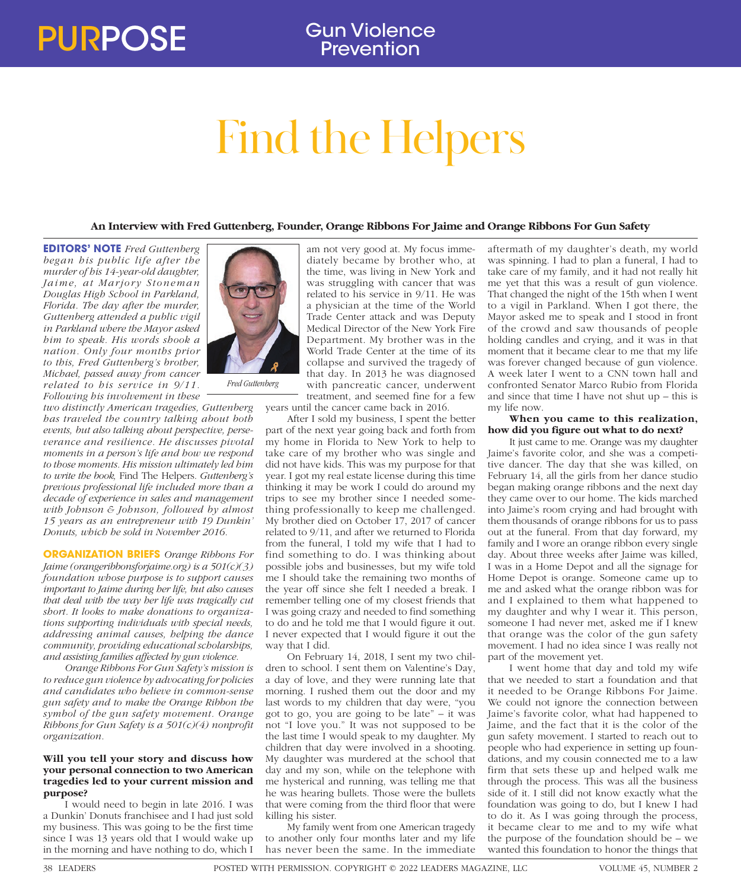# Find the Helpers

# **An Interview with Fred Guttenberg, Founder, Orange Ribbons For Jaime and Orange Ribbons For Gun Safety**

**EDITORS' NOTE** *Fred Guttenberg began his public life after the murder of his 14-year-old daughter, Jaime, at Marjory Stoneman Douglas High School in Parkland, Florida. The day after the murder, Guttenberg attended a public vigil in Parkland where the Mayor asked him to speak. His words shook a nation. Only four months prior to this, Fred Guttenberg's brother, Michael, passed away from cancer related to his service in 9/11. Following his involvement in these* 

*two distinctly American tragedies, Guttenberg has traveled the country talking about both events, but also talking about perspective, perseverance and resilience. He discusses pivotal moments in a person's life and how we respond to those moments. His mission ultimately led him to write the book,* Find The Helpers*. Guttenberg's previous professional life included more than a decade of experience in sales and management with Johnson & Johnson, followed by almost 15 years as an entrepreneur with 19 Dunkin' Donuts, which he sold in November 2016.*

**ORGANIZATION BRIEFS** *Orange Ribbons For Jaime (orangeribbonsforjaime.org) is a 501(c)(3) foundation whose purpose is to support causes important to Jaime during her life, but also causes that deal with the way her life was tragically cut short. It looks to make donations to organizations supporting individuals with special needs, addressing animal causes, helping the dance community, providing educational scholarships, and assisting families affected by gun violence.*

*Orange Ribbons For Gun Safety's mission is to reduce gun violence by advocating for policies and candidates who believe in common-sense gun safety and to make the Orange Ribbon the symbol of the gun safety movement. Orange Ribbons for Gun Safety is a 501(c)(4) nonprofit organization.*

## **Will you tell your story and discuss how your personal connection to two American tragedies led to your current mission and purpose?**

I would need to begin in late 2016. I was a Dunkin' Donuts franchisee and I had just sold my business. This was going to be the first time since I was 13 years old that I would wake up in the morning and have nothing to do, which I



*Fred Guttenberg*

am not very good at. My focus immediately became by brother who, at the time, was living in New York and was struggling with cancer that was related to his service in 9/11. He was a physician at the time of the World Trade Center attack and was Deputy Medical Director of the New York Fire Department. My brother was in the World Trade Center at the time of its collapse and survived the tragedy of that day. In 2013 he was diagnosed with pancreatic cancer, underwent treatment, and seemed fine for a few

years until the cancer came back in 2016.

After I sold my business, I spent the better part of the next year going back and forth from my home in Florida to New York to help to take care of my brother who was single and did not have kids. This was my purpose for that year. I got my real estate license during this time thinking it may be work I could do around my trips to see my brother since I needed something professionally to keep me challenged. My brother died on October 17, 2017 of cancer related to 9/11, and after we returned to Florida from the funeral, I told my wife that I had to find something to do. I was thinking about possible jobs and businesses, but my wife told me I should take the remaining two months of the year off since she felt I needed a break. I remember telling one of my closest friends that I was going crazy and needed to find something to do and he told me that I would figure it out. I never expected that I would figure it out the way that I did.

On February 14, 2018, I sent my two children to school. I sent them on Valentine's Day, a day of love, and they were running late that morning. I rushed them out the door and my last words to my children that day were, "you got to go, you are going to be late"  $-$  it was not "I love you." It was not supposed to be the last time I would speak to my daughter. My children that day were involved in a shooting. My daughter was murdered at the school that day and my son, while on the telephone with me hysterical and running, was telling me that he was hearing bullets. Those were the bullets that were coming from the third floor that were killing his sister.

My family went from one American tragedy to another only four months later and my life has never been the same. In the immediate

aftermath of my daughter's death, my world was spinning. I had to plan a funeral, I had to take care of my family, and it had not really hit me yet that this was a result of gun violence. That changed the night of the 15th when I went to a vigil in Parkland. When I got there, the Mayor asked me to speak and I stood in front of the crowd and saw thousands of people holding candles and crying, and it was in that moment that it became clear to me that my life was forever changed because of gun violence. A week later I went to a CNN town hall and confronted Senator Marco Rubio from Florida and since that time I have not shut up – this is my life now.

## **When you came to this realization, how did you figure out what to do next?**

It just came to me. Orange was my daughter Jaime's favorite color, and she was a competitive dancer. The day that she was killed, on February 14, all the girls from her dance studio began making orange ribbons and the next day they came over to our home. The kids marched into Jaime's room crying and had brought with them thousands of orange ribbons for us to pass out at the funeral. From that day forward, my family and I wore an orange ribbon every single day. About three weeks after Jaime was killed, I was in a Home Depot and all the signage for Home Depot is orange. Someone came up to me and asked what the orange ribbon was for and I explained to them what happened to my daughter and why I wear it. This person, someone I had never met, asked me if I knew that orange was the color of the gun safety movement. I had no idea since I was really not part of the movement yet.

I went home that day and told my wife that we needed to start a foundation and that it needed to be Orange Ribbons For Jaime. We could not ignore the connection between Jaime's favorite color, what had happened to Jaime, and the fact that it is the color of the gun safety movement. I started to reach out to people who had experience in setting up foundations, and my cousin connected me to a law firm that sets these up and helped walk me through the process. This was all the business side of it. I still did not know exactly what the foundation was going to do, but I knew I had to do it. As I was going through the process, it became clear to me and to my wife what the purpose of the foundation should be  $-$  we wanted this foundation to honor the things that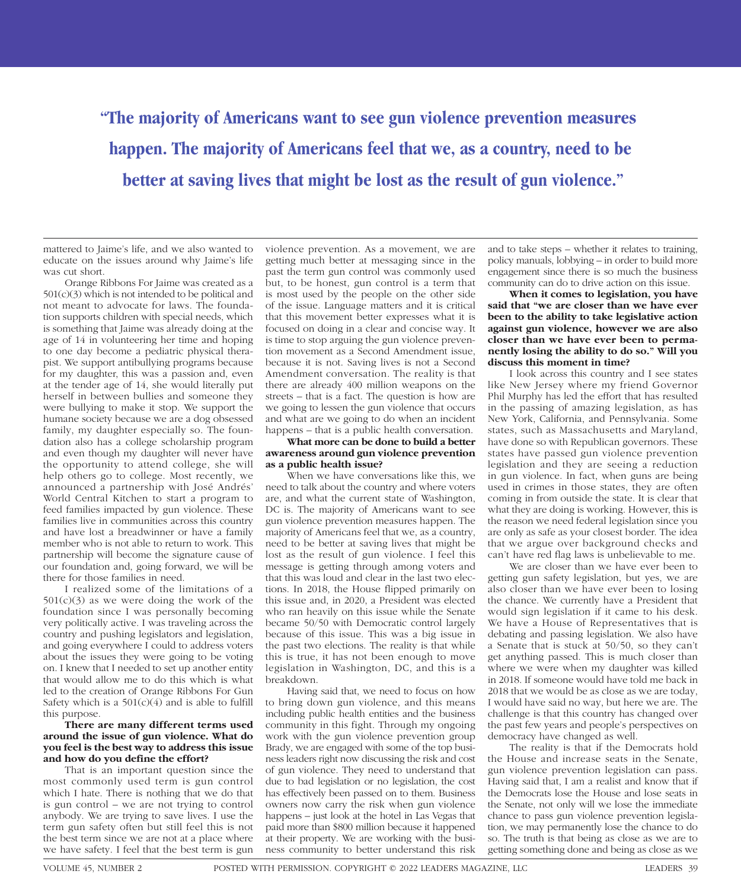**"The majority of Americans want to see gun violence prevention measures happen. The majority of Americans feel that we, as a country, need to be better at saving lives that might be lost as the result of gun violence."**

mattered to Jaime's life, and we also wanted to educate on the issues around why Jaime's life was cut short.

Orange Ribbons For Jaime was created as a 501(c)(3) which is not intended to be political and not meant to advocate for laws. The foundation supports children with special needs, which is something that Jaime was already doing at the age of 14 in volunteering her time and hoping to one day become a pediatric physical therapist. We support antibullying programs because for my daughter, this was a passion and, even at the tender age of 14, she would literally put herself in between bullies and someone they were bullying to make it stop. We support the humane society because we are a dog obsessed family, my daughter especially so. The foundation also has a college scholarship program and even though my daughter will never have the opportunity to attend college, she will help others go to college. Most recently, we announced a partnership with José Andrés' World Central Kitchen to start a program to feed families impacted by gun violence. These families live in communities across this country and have lost a breadwinner or have a family member who is not able to return to work. This partnership will become the signature cause of our foundation and, going forward, we will be there for those families in need.

I realized some of the limitations of a  $501(c)(3)$  as we were doing the work of the foundation since I was personally becoming very politically active. I was traveling across the country and pushing legislators and legislation, and going everywhere I could to address voters about the issues they were going to be voting on. I knew that I needed to set up another entity that would allow me to do this which is what led to the creation of Orange Ribbons For Gun Safety which is a  $501(c)(4)$  and is able to fulfill this purpose.

#### **There are many different terms used around the issue of gun violence. What do you feel is the best way to address this issue and how do you define the effort?**

That is an important question since the most commonly used term is gun control which I hate. There is nothing that we do that is gun control – we are not trying to control anybody. We are trying to save lives. I use the term gun safety often but still feel this is not the best term since we are not at a place where we have safety. I feel that the best term is gun

violence prevention. As a movement, we are getting much better at messaging since in the past the term gun control was commonly used but, to be honest, gun control is a term that is most used by the people on the other side of the issue. Language matters and it is critical that this movement better expresses what it is focused on doing in a clear and concise way. It is time to stop arguing the gun violence prevention movement as a Second Amendment issue, because it is not. Saving lives is not a Second Amendment conversation. The reality is that there are already 400 million weapons on the streets – that is a fact. The question is how are we going to lessen the gun violence that occurs and what are we going to do when an incident happens – that is a public health conversation.

#### **What more can be done to build a better awareness around gun violence prevention as a public health issue?**

When we have conversations like this, we need to talk about the country and where voters are, and what the current state of Washington, DC is. The majority of Americans want to see gun violence prevention measures happen. The majority of Americans feel that we, as a country, need to be better at saving lives that might be lost as the result of gun violence. I feel this message is getting through among voters and that this was loud and clear in the last two elections. In 2018, the House flipped primarily on this issue and, in 2020, a President was elected who ran heavily on this issue while the Senate became 50/50 with Democratic control largely because of this issue. This was a big issue in the past two elections. The reality is that while this is true, it has not been enough to move legislation in Washington, DC, and this is a breakdown.

Having said that, we need to focus on how to bring down gun violence, and this means including public health entities and the business community in this fight. Through my ongoing work with the gun violence prevention group Brady, we are engaged with some of the top business leaders right now discussing the risk and cost of gun violence. They need to understand that due to bad legislation or no legislation, the cost has effectively been passed on to them. Business owners now carry the risk when gun violence happens – just look at the hotel in Las Vegas that paid more than \$800 million because it happened at their property. We are working with the business community to better understand this risk

and to take steps – whether it relates to training, policy manuals, lobbying – in order to build more engagement since there is so much the business community can do to drive action on this issue.

**When it comes to legislation, you have said that "we are closer than we have ever been to the ability to take legislative action against gun violence, however we are also closer than we have ever been to permanently losing the ability to do so." Will you discuss this moment in time?**

I look across this country and I see states like New Jersey where my friend Governor Phil Murphy has led the effort that has resulted in the passing of amazing legislation, as has New York, California, and Pennsylvania. Some states, such as Massachusetts and Maryland, have done so with Republican governors. These states have passed gun violence prevention legislation and they are seeing a reduction in gun violence. In fact, when guns are being used in crimes in those states, they are often coming in from outside the state. It is clear that what they are doing is working. However, this is the reason we need federal legislation since you are only as safe as your closest border. The idea that we argue over background checks and can't have red flag laws is unbelievable to me.

We are closer than we have ever been to getting gun safety legislation, but yes, we are also closer than we have ever been to losing the chance. We currently have a President that would sign legislation if it came to his desk. We have a House of Representatives that is debating and passing legislation. We also have a Senate that is stuck at 50/50, so they can't get anything passed. This is much closer than where we were when my daughter was killed in 2018. If someone would have told me back in 2018 that we would be as close as we are today, I would have said no way, but here we are. The challenge is that this country has changed over the past few years and people's perspectives on democracy have changed as well.

The reality is that if the Democrats hold the House and increase seats in the Senate, gun violence prevention legislation can pass. Having said that, I am a realist and know that if the Democrats lose the House and lose seats in the Senate, not only will we lose the immediate chance to pass gun violence prevention legislation, we may permanently lose the chance to do so. The truth is that being as close as we are to getting something done and being as close as we